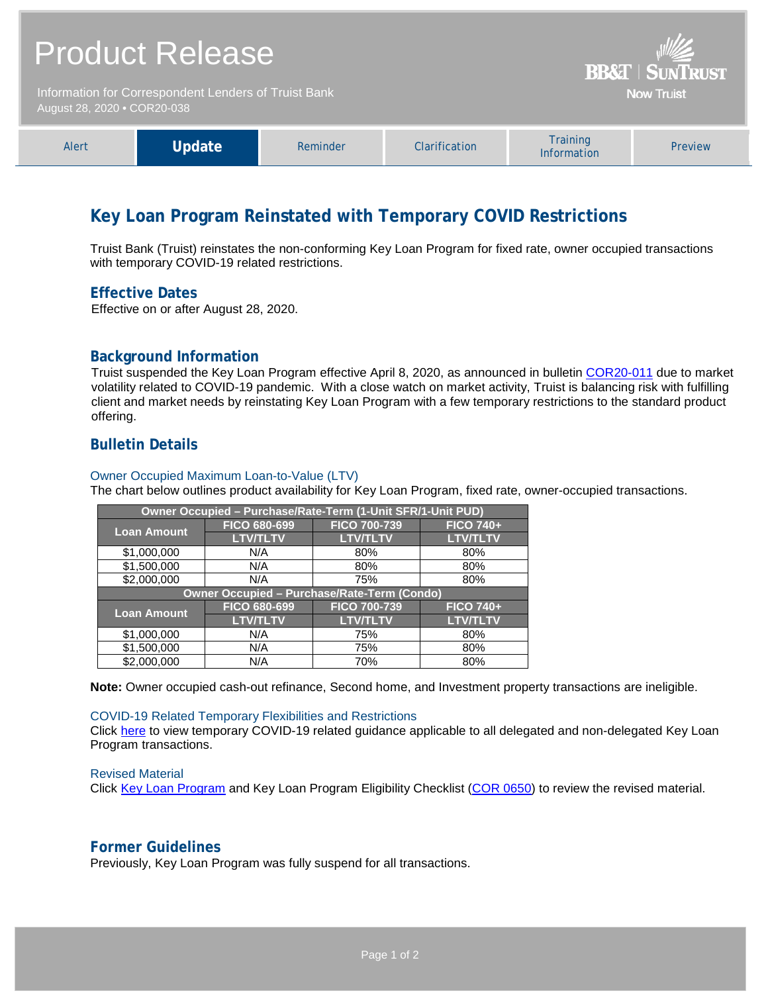| <b>Product Release</b><br>Information for Correspondent Lenders of Truist Bank<br>August 28, 2020 • COR20-038 |        |          |               | <b>BB&amp;T   SUNTRUST</b><br>Now Truist |         |  |
|---------------------------------------------------------------------------------------------------------------|--------|----------|---------------|------------------------------------------|---------|--|
| Alert                                                                                                         | Update | Reminder | Clarification | <b>Training</b><br>Information           | Preview |  |

# **Key Loan Program Reinstated with Temporary COVID Restrictions**

Truist Bank (Truist) reinstates the non-conforming Key Loan Program for fixed rate, owner occupied transactions with temporary COVID-19 related restrictions.

## **Effective Dates**

Effective on or after August 28, 2020.

# **Background Information**

Truist suspended the Key Loan Program effective April 8, 2020, as announced in bulletin [COR20-011](https://www.truistsellerguide.com/Manual/cor/bulletins/archive/Cr20-011.pdf) due to market volatility related to COVID-19 pandemic. With a close watch on market activity, Truist is balancing risk with fulfilling client and market needs by reinstating Key Loan Program with a few temporary restrictions to the standard product offering.

# **Bulletin Details**

#### Owner Occupied Maximum Loan-to-Value (LTV)

The chart below outlines product availability for Key Loan Program, fixed rate, owner-occupied transactions.

| Owner Occupied - Purchase/Rate-Term (1-Unit SFR/1-Unit PUD) |                     |                     |                  |  |  |  |
|-------------------------------------------------------------|---------------------|---------------------|------------------|--|--|--|
| <b>Loan Amount</b>                                          | FICO 680-699        | <b>FICO 700-739</b> | <b>FICO 740+</b> |  |  |  |
|                                                             | <b>LTV/TLTV</b>     | <b>LTV/TLTV</b>     | <b>LTV/TLTV</b>  |  |  |  |
| \$1,000,000                                                 | N/A                 | 80%                 | 80%              |  |  |  |
| \$1,500,000                                                 | N/A                 | 80%                 | 80%              |  |  |  |
| \$2,000,000                                                 | N/A                 | 75%                 | 80%              |  |  |  |
| <b>Owner Occupied - Purchase/Rate-Term (Condo)</b>          |                     |                     |                  |  |  |  |
| <b>Loan Amount</b>                                          | <b>FICO 680-699</b> | <b>FICO 700-739</b> | <b>FICO 740+</b> |  |  |  |
|                                                             | <b>LTV/TLTV</b>     | <b>LTV/TLTV</b>     | <b>LTV/TLTV</b>  |  |  |  |
| \$1,000,000                                                 | N/A                 | 75%                 | 80%              |  |  |  |
| \$1,500,000                                                 | N/A                 | 75%                 | 80%              |  |  |  |
| \$2,000,000                                                 | N/A                 | 70%                 | 80%              |  |  |  |

**Note:** Owner occupied cash-out refinance, Second home, and Investment property transactions are ineligible.

#### COVID-19 Related Temporary Flexibilities and Restrictions

Click [here](http://www.truistsellerguide.com/manual/cor/products/Cr20-038COVID.pdf) to view temporary COVID-19 related guidance applicable to all delegated and non-delegated Key Loan Program transactions.

#### Revised Material

Click [Key Loan Program](https://www.truistsellerguide.com/Manual/cor/products/CKey.pdf) and Key Loan Program Eligibility Checklist [\(COR 0650\)](http://www.truistsellerguide.com/manual/cor/forms/COR0650.pdf) to review the revised material.

## **Former Guidelines**

Previously, Key Loan Program was fully suspend for all transactions.